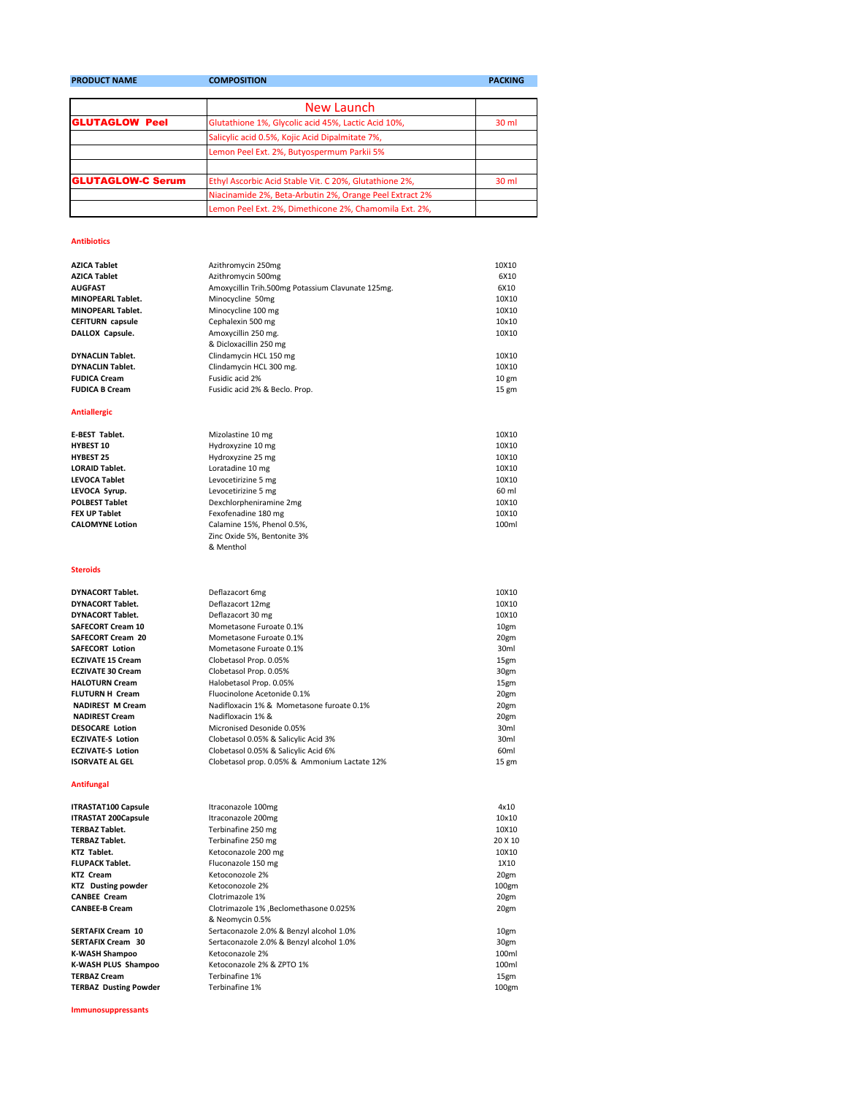| <b>PRODUCT NAME</b>      | <b>COMPOSITION</b>                                      | <b>PACKING</b>   |
|--------------------------|---------------------------------------------------------|------------------|
|                          |                                                         |                  |
|                          | New Launch                                              |                  |
| <b>GLUTAGLOW Peel</b>    | Glutathione 1%, Glycolic acid 45%, Lactic Acid 10%,     | 30 ml            |
|                          | Salicylic acid 0.5%, Kojic Acid Dipalmitate 7%,         |                  |
|                          | Lemon Peel Ext. 2%, Butyospermum Parkii 5%              |                  |
|                          |                                                         |                  |
| <b>GLUTAGLOW-C Serum</b> | Ethyl Ascorbic Acid Stable Vit. C 20%, Glutathione 2%,  | 30 <sub>ml</sub> |
|                          | Niacinamide 2%, Beta-Arbutin 2%, Orange Peel Extract 2% |                  |
|                          | Lemon Peel Ext. 2%, Dimethicone 2%, Chamomila Ext. 2%,  |                  |

## **Antibiotics**

| <b>AZICA Tablet</b>      | Azithromycin 250mg                                | 10X10           |
|--------------------------|---------------------------------------------------|-----------------|
| <b>AZICA Tablet</b>      | Azithromycin 500mg                                | 6X10            |
| <b>AUGFAST</b>           | Amoxycillin Trih.500mg Potassium Clavunate 125mg. | 6X10            |
| <b>MINOPEARL Tablet.</b> | Minocycline 50mg                                  | 10X10           |
| <b>MINOPEARL Tablet.</b> | Minocycline 100 mg                                | 10X10           |
| <b>CEFITURN</b> capsule  | Cephalexin 500 mg                                 | 10x10           |
| DALLOX Capsule.          | Amoxycillin 250 mg.                               | 10X10           |
|                          | & Dicloxacillin 250 mg                            |                 |
| <b>DYNACLIN Tablet.</b>  | Clindamycin HCL 150 mg                            | 10X10           |
| <b>DYNACLIN Tablet.</b>  | Clindamycin HCL 300 mg.                           | 10X10           |
| <b>FUDICA Cream</b>      | Fusidic acid 2%                                   | $10 \text{ gm}$ |
| <b>FUDICA B Cream</b>    | Fusidic acid 2% & Beclo, Prop.                    | $15 \text{ gm}$ |
|                          |                                                   |                 |
| <b>Antiallergic</b>      |                                                   |                 |

**E-BEST Tablet.** 10X10<br> **E-BEST Tablet.** 10X10<br> **HYdroxyzine 10 mg** 10X10<br>
10X10 **HYBEST 10** Hydroxyzine 10 mg<br> **HYDEST 25** Hydroxyzine 25 mg<br>
10X10 **HYBEST 25** Hydroxyzine 25 mg<br> **LORAID Tablet.** Loratadine 10 mg 10X10 **LORAID Tablet.** 10X10 **Loratadine 10 mg** 10X10 **10X10 LEVOCA Tablet Levocetirizine 5 mg** 10X10 **LEVOCA Syrup.** Levocetirizine 5 mg 60 ml **POLBEST Tablet Dexchlorpheniramine 2mg POLBEST Tablet** 10X10<br> **PEX UP Tablet Dexchlored Fext Constant ASO mg POLICE 2018 FEX UP Tablet** Fexofenadine 180 mg<br>
CALOMYNE Lotion Calamine 15%, Phenol 0.5%, The Second Calamine 15%, Phenol 0.5%, Calamine 15%, Phenol 0.5%, Zinc Oxide 5%, Bentonite 3% & Menthol

## **Steroids**

**DYNACORT Tablet. DYNACORT Tablet. DYNACORT Tablet. SAFECORT Cream 10 SAFECORT Cream 20 SAFECORT Lotion ECZIVATE 15 Cream ECZIVATE 30 Cream HALOTURN Cream FLUTURN H Cream NADIREST M Cream NADIREST Cream DESOCARE Lotion ECZIVATE-S Lotion ECZIVATE-S Lotion ISORVATE AL GEL** 

## **Antifungal**

| <b>ITRASTAT100 Capsule</b> |
|----------------------------|
| <b>ITRASTAT 200Capsule</b> |
| <b>TERBAZ Tablet.</b>      |
| <b>TERBAZ Tablet.</b>      |
| KTZ Tablet.                |
| <b>FLUPACK Tablet.</b>     |
| KTZ Cream                  |
| <b>KTZ</b> Dusting powder  |
| <b>CANBEE Cream</b>        |
| <b>CANBEE-B Cream</b>      |
|                            |

**Immunosuppressants**

| Deflazacort 6mg                               | 10X10            |
|-----------------------------------------------|------------------|
| Deflazacort 12mg                              | 10X10            |
| Deflazacort 30 mg                             | 10X10            |
| Mometasone Furoate 0.1%                       | 10gm             |
| Mometasone Furoate 0.1%                       | 20gm             |
| Mometasone Furoate 0.1%                       | 30 <sub>ml</sub> |
| Clobetasol Prop. 0.05%                        | 15gm             |
| Clobetasol Prop. 0.05%                        | 30gm             |
| Halobetasol Prop. 0.05%                       | 15gm             |
| Fluocinolone Acetonide 0.1%                   | 20gm             |
| Nadifloxacin 1% & Mometasone furoate 0.1%     | 20gm             |
| Nadifloxacin 1% &                             | 20gm             |
| Micronised Desonide 0.05%                     | 30 <sub>ml</sub> |
| Clobetasol 0.05% & Salicylic Acid 3%          | 30 <sub>ml</sub> |
| Clobetasol 0.05% & Salicylic Acid 6%          | 60 <sub>ml</sub> |
| Clobetasol prop. 0.05% & Ammonium Lactate 12% | $15 \text{ gm}$  |
|                                               |                  |

| <b>ITRASTAT100 Capsule</b>   | Itraconazole 100mg                       | 4x10              |
|------------------------------|------------------------------------------|-------------------|
| <b>ITRASTAT 200Capsule</b>   | Itraconazole 200mg                       | 10×10             |
| <b>TERBAZ Tablet.</b>        | Terbinafine 250 mg                       | 10X10             |
| <b>TERBAZ Tablet.</b>        | Terbinafine 250 mg                       | 20 X 10           |
| KTZ Tablet.                  | Ketoconazole 200 mg                      | 10X10             |
| <b>FLUPACK Tablet.</b>       | Fluconazole 150 mg                       | 1X10              |
| <b>KTZ Cream</b>             | Ketoconozole 2%                          | 20gm              |
| <b>KTZ</b> Dusting powder    | Ketoconozole 2%                          | 100 <sub>gm</sub> |
| <b>CANBEE Cream</b>          | Clotrimazole 1%                          | 20gm              |
| <b>CANBEE-B Cream</b>        | Clotrimazole 1%, Beclomethasone 0.025%   | 20gm              |
|                              | & Neomycin 0.5%                          |                   |
| <b>SERTAFIX Cream 10</b>     | Sertaconazole 2.0% & Benzyl alcohol 1.0% | 10gm              |
| <b>SERTAFIX Cream 30</b>     | Sertaconazole 2.0% & Benzyl alcohol 1.0% | 30gm              |
| K-WASH Shampoo               | Ketoconazole 2%                          | 100ml             |
| K-WASH PLUS Shampoo          | Ketoconazole 2% & ZPTO 1%                | 100ml             |
| <b>TERBAZ Cream</b>          | Terbinafine 1%                           | 15gm              |
| <b>TERBAZ Dusting Powder</b> | Terbinafine 1%                           | 100 <sub>gm</sub> |
|                              |                                          |                   |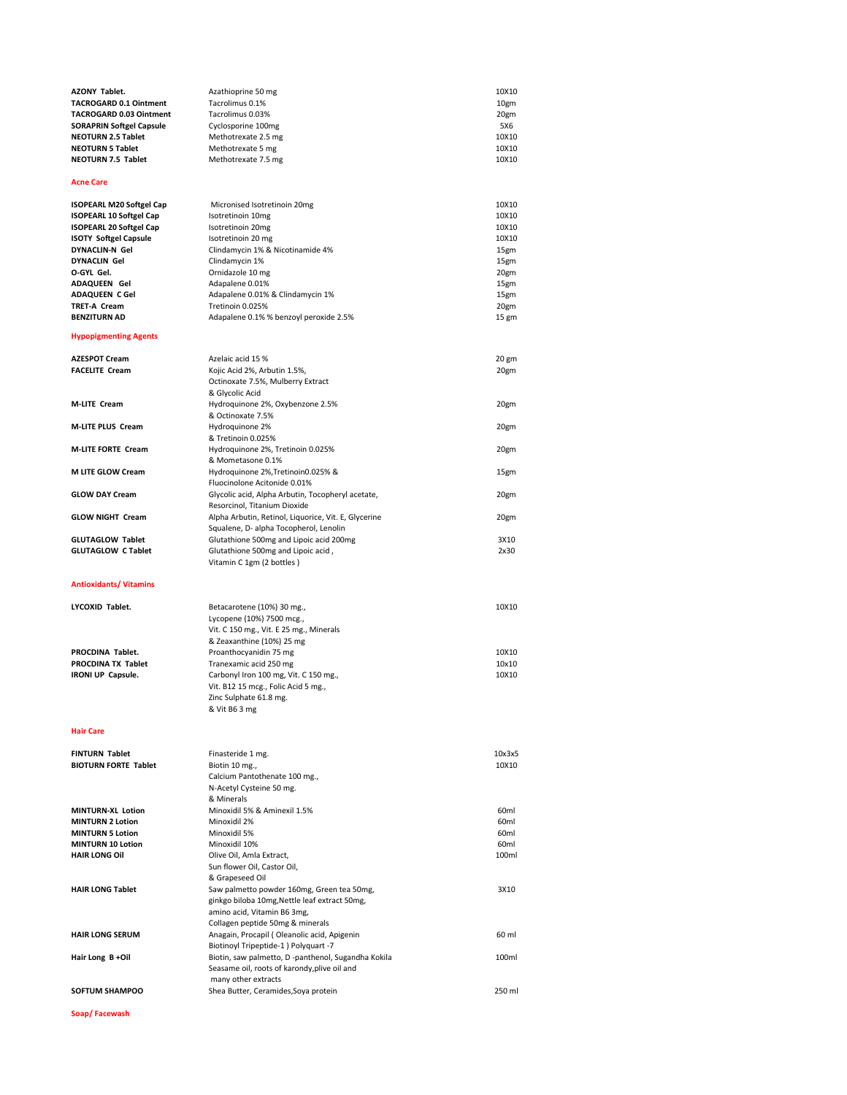| <b>AZONY Tablet.</b>                                         | Azathioprine 50 mg                                                                                  | 10X10                                |
|--------------------------------------------------------------|-----------------------------------------------------------------------------------------------------|--------------------------------------|
| TACROGARD 0.1 Ointment                                       | Tacrolimus 0.1%                                                                                     | 10gm                                 |
| TACROGARD 0.03 Ointment                                      | Tacrolimus 0.03%                                                                                    | 20gm                                 |
| <b>SORAPRIN Softgel Capsule</b><br><b>NEOTURN 2.5 Tablet</b> | Cyclosporine 100mg<br>Methotrexate 2.5 mg                                                           | 5X6<br>10X10                         |
| <b>NEOTURN 5 Tablet</b>                                      | Methotrexate 5 mg                                                                                   | 10X10                                |
| NEOTURN 7.5 Tablet                                           | Methotrexate 7.5 mg                                                                                 | 10X10                                |
| Acne Care                                                    |                                                                                                     |                                      |
| <b>ISOPEARL M20 Softgel Cap</b>                              | Micronised Isotretinoin 20mg                                                                        | 10X10                                |
| <b>ISOPEARL 10 Softgel Cap</b>                               | Isotretinoin 10mg                                                                                   | 10X10                                |
| ISOPEARL 20 Softgel Cap                                      | Isotretinoin 20mg                                                                                   | 10X10                                |
| <b>ISOTY Softgel Capsule</b>                                 | Isotretinoin 20 mg                                                                                  | 10X10                                |
| <b>DYNACLIN-N Gel</b>                                        | Clindamycin 1% & Nicotinamide 4%                                                                    | 15gm                                 |
| <b>DYNACLIN Gel</b>                                          | Clindamycin 1%                                                                                      | 15gm                                 |
| O-GYL Gel.                                                   | Ornidazole 10 mg                                                                                    | 20gm                                 |
| ADAQUEEN Gel                                                 | Adapalene 0.01%                                                                                     | 15gm                                 |
| ADAQUEEN C Gel                                               | Adapalene 0.01% & Clindamycin 1%                                                                    | 15gm                                 |
| TRET-A Cream<br><b>BENZITURN AD</b>                          | Tretinoin 0.025%                                                                                    | 20gm                                 |
| <b>Hypopigmenting Agents</b>                                 | Adapalene 0.1% % benzoyl peroxide 2.5%                                                              | 15 gm                                |
|                                                              |                                                                                                     |                                      |
| <b>AZESPOT Cream</b>                                         | Azelaic acid 15 %                                                                                   | 20 gm                                |
| <b>FACELITE Cream</b>                                        | Kojic Acid 2%, Arbutin 1.5%,                                                                        | 20gm                                 |
|                                                              | Octinoxate 7.5%, Mulberry Extract                                                                   |                                      |
| <b>M-LITE Cream</b>                                          | & Glycolic Acid<br>Hydroquinone 2%, Oxybenzone 2.5%                                                 | 20gm                                 |
|                                                              | & Octinoxate 7.5%                                                                                   |                                      |
| <b>M-LITE PLUS Cream</b>                                     | Hydroquinone 2%                                                                                     | 20gm                                 |
|                                                              | & Tretinoin 0.025%                                                                                  |                                      |
| <b>M-LITE FORTE Cream</b>                                    | Hydroquinone 2%, Tretinoin 0.025%                                                                   | 20gm                                 |
|                                                              | & Mometasone 0.1%                                                                                   |                                      |
| M LITE GLOW Cream                                            | Hydroquinone 2%, Tretinoin 0.025% &<br>Fluocinolone Acitonide 0.01%                                 | 15gm                                 |
| <b>GLOW DAY Cream</b>                                        | Glycolic acid, Alpha Arbutin, Tocopheryl acetate,                                                   | 20gm                                 |
|                                                              | Resorcinol, Titanium Dioxide                                                                        |                                      |
| <b>GLOW NIGHT Cream</b>                                      | Alpha Arbutin, Retinol, Liquorice, Vit. E, Glycerine                                                | 20gm                                 |
|                                                              | Squalene, D- alpha Tocopherol, Lenolin                                                              |                                      |
| <b>GLUTAGLOW Tablet</b>                                      | Glutathione 500mg and Lipoic acid 200mg                                                             | 3X10                                 |
| <b>GLUTAGLOW C Tablet</b>                                    | Glutathione 500mg and Lipoic acid,                                                                  | 2x30                                 |
|                                                              | Vitamin C 1gm (2 bottles)                                                                           |                                      |
| <b>Antioxidants/ Vitamins</b>                                |                                                                                                     |                                      |
| LYCOXID Tablet.                                              | Betacarotene (10%) 30 mg.,                                                                          | 10X10                                |
|                                                              | Lycopene (10%) 7500 mcg.,                                                                           |                                      |
|                                                              | Vit. C 150 mg., Vit. E 25 mg., Minerals                                                             |                                      |
|                                                              | & Zeaxanthine (10%) 25 mg                                                                           |                                      |
| PROCDINA Tablet.                                             | Proanthocyanidin 75 mg                                                                              | 10X10                                |
| PROCDINA TX Tablet                                           | Tranexamic acid 250 mg                                                                              | 10x10                                |
| IRONI UP Capsule.                                            | Carbonyl Iron 100 mg, Vit. C 150 mg.,                                                               | 10X10                                |
|                                                              | Vit. B12 15 mcg., Folic Acid 5 mg.,                                                                 |                                      |
|                                                              | Zinc Sulphate 61.8 mg.                                                                              |                                      |
|                                                              | & Vit B6 3 mg                                                                                       |                                      |
| <b>Hair Care</b>                                             |                                                                                                     |                                      |
| FINTURN Tablet                                               | Finasteride 1 mg.                                                                                   | 10x3x5                               |
| <b>BIOTURN FORTE Tablet</b>                                  | Biotin 10 mg.,                                                                                      | 10X10                                |
|                                                              | Calcium Pantothenate 100 mg.,                                                                       |                                      |
|                                                              | N-Acetyl Cysteine 50 mg.                                                                            |                                      |
|                                                              | & Minerals                                                                                          |                                      |
| MINTURN-XL Lotion<br><b>MINTURN 2 Lotion</b>                 | Minoxidil 5% & Aminexil 1.5%<br>Minoxidil 2%                                                        | 60 <sub>ml</sub><br>60 <sub>ml</sub> |
| <b>MINTURN 5 Lotion</b>                                      | Minoxidil 5%                                                                                        | 60 <sub>ml</sub>                     |
| <b>MINTURN 10 Lotion</b>                                     | Minoxidil 10%                                                                                       | 60 <sub>ml</sub>                     |
| <b>HAIR LONG OIL</b>                                         | Olive Oil, Amla Extract,                                                                            | 100ml                                |
|                                                              | Sun flower Oil, Castor Oil,                                                                         |                                      |
|                                                              | & Grapeseed Oil                                                                                     |                                      |
| <b>HAIR LONG Tablet</b>                                      | Saw palmetto powder 160mg, Green tea 50mg,                                                          | 3X10                                 |
|                                                              | ginkgo biloba 10mg, Nettle leaf extract 50mg,                                                       |                                      |
|                                                              | amino acid, Vitamin B6 3mg,                                                                         |                                      |
|                                                              | Collagen peptide 50mg & minerals                                                                    |                                      |
| <b>HAIR LONG SERUM</b>                                       | Anagain, Procapil (Oleanolic acid, Apigenin                                                         | 60 ml                                |
|                                                              | Biotinoyl Tripeptide-1 ) Polyquart -7                                                               |                                      |
| Hair Long B+Oil                                              | Biotin, saw palmetto, D -panthenol, Sugandha Kokila<br>Seasame oil, roots of karondy, plive oil and | 100ml                                |
|                                                              | many other extracts                                                                                 |                                      |
| <b>SOFTUM SHAMPOO</b>                                        | Shea Butter, Ceramides, Soya protein                                                                | 250 ml                               |
|                                                              |                                                                                                     |                                      |

**Soap/ Facewash**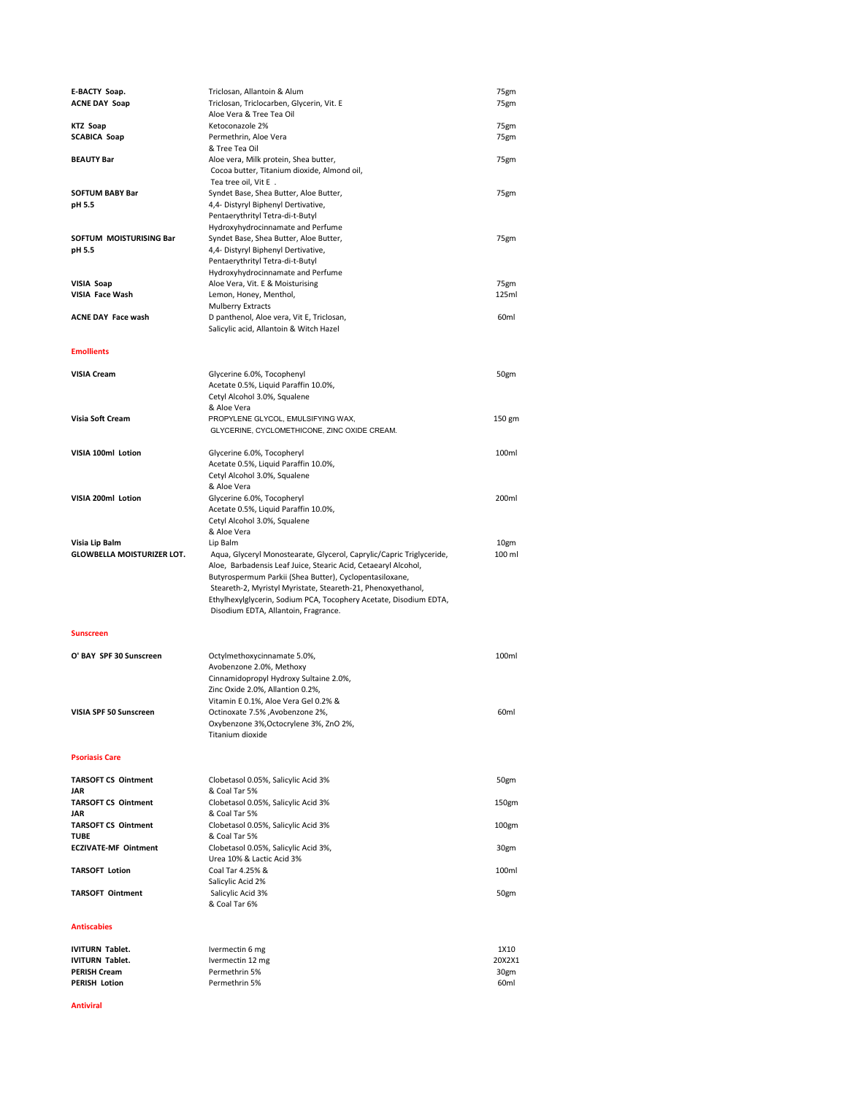| E-BACTY Soap.                               | Triclosan, Allantoin & Alum                                          | 75gm             |
|---------------------------------------------|----------------------------------------------------------------------|------------------|
| <b>ACNE DAY Soap</b>                        | Triclosan, Triclocarben, Glycerin, Vit. E                            | 75gm             |
|                                             |                                                                      |                  |
|                                             | Aloe Vera & Tree Tea Oil                                             |                  |
| <b>KTZ Soap</b>                             | Ketoconazole 2%                                                      | 75gm             |
| <b>SCABICA Soap</b>                         | Permethrin, Aloe Vera                                                | 75gm             |
|                                             |                                                                      |                  |
|                                             | & Tree Tea Oil                                                       |                  |
| <b>BEAUTY Bar</b>                           | Aloe vera, Milk protein, Shea butter,                                | 75gm             |
|                                             | Cocoa butter, Titanium dioxide, Almond oil,                          |                  |
|                                             |                                                                      |                  |
|                                             | Tea tree oil, Vit E.                                                 |                  |
| <b>SOFTUM BABY Bar</b>                      | Syndet Base, Shea Butter, Aloe Butter,                               | 75gm             |
|                                             |                                                                      |                  |
| pH 5.5                                      | 4,4- Distyryl Biphenyl Dertivative,                                  |                  |
|                                             | Pentaerythrityl Tetra-di-t-Butyl                                     |                  |
|                                             | Hydroxyhydrocinnamate and Perfume                                    |                  |
|                                             |                                                                      |                  |
| SOFTUM MOISTURISING Bar                     | Syndet Base, Shea Butter, Aloe Butter,                               | 75gm             |
| pH 5.5                                      | 4,4- Distyryl Biphenyl Dertivative,                                  |                  |
|                                             | Pentaerythrityl Tetra-di-t-Butyl                                     |                  |
|                                             |                                                                      |                  |
|                                             | Hydroxyhydrocinnamate and Perfume                                    |                  |
| VISIA Soap                                  | Aloe Vera, Vit. E & Moisturising                                     | 75gm             |
| VISIA Face Wash                             | Lemon, Honey, Menthol,                                               | 125ml            |
|                                             |                                                                      |                  |
|                                             | <b>Mulberry Extracts</b>                                             |                  |
| <b>ACNE DAY Face wash</b>                   | D panthenol, Aloe vera, Vit E, Triclosan,                            | 60ml             |
|                                             |                                                                      |                  |
|                                             | Salicylic acid, Allantoin & Witch Hazel                              |                  |
|                                             |                                                                      |                  |
| <b>Emollients</b>                           |                                                                      |                  |
|                                             |                                                                      |                  |
|                                             |                                                                      |                  |
| <b>VISIA Cream</b>                          | Glycerine 6.0%, Tocophenyl                                           | 50gm             |
|                                             | Acetate 0.5%, Liquid Paraffin 10.0%,                                 |                  |
|                                             |                                                                      |                  |
|                                             | Cetyl Alcohol 3.0%, Squalene                                         |                  |
|                                             | & Aloe Vera                                                          |                  |
| Visia Soft Cream                            | PROPYLENE GLYCOL, EMULSIFYING WAX,                                   | 150 gm           |
|                                             |                                                                      |                  |
|                                             | GLYCERINE, CYCLOMETHICONE, ZINC OXIDE CREAM.                         |                  |
|                                             |                                                                      |                  |
| VISIA 100ml Lotion                          | Glycerine 6.0%, Tocopheryl                                           | 100ml            |
|                                             |                                                                      |                  |
|                                             | Acetate 0.5%, Liquid Paraffin 10.0%,                                 |                  |
|                                             | Cetyl Alcohol 3.0%, Squalene                                         |                  |
|                                             | & Aloe Vera                                                          |                  |
|                                             |                                                                      |                  |
| VISIA 200ml Lotion                          | Glycerine 6.0%, Tocopheryl                                           | 200ml            |
|                                             | Acetate 0.5%, Liquid Paraffin 10.0%,                                 |                  |
|                                             |                                                                      |                  |
|                                             | Cetyl Alcohol 3.0%, Squalene                                         |                  |
|                                             | & Aloe Vera                                                          |                  |
| Visia Lip Balm                              | Lip Balm                                                             | 10gm             |
|                                             |                                                                      |                  |
|                                             | Aqua, Glyceryl Monostearate, Glycerol, Caprylic/Capric Triglyceride, | 100 ml           |
| <b>GLOWBELLA MOISTURIZER LOT.</b>           |                                                                      |                  |
|                                             |                                                                      |                  |
|                                             | Aloe, Barbadensis Leaf Juice, Stearic Acid, Cetaearyl Alcohol,       |                  |
|                                             | Butyrospermum Parkii (Shea Butter), Cyclopentasiloxane,              |                  |
|                                             | Steareth-2, Myristyl Myristate, Steareth-21, Phenoxyethanol,         |                  |
|                                             |                                                                      |                  |
|                                             | Ethylhexylglycerin, Sodium PCA, Tocophery Acetate, Disodium EDTA,    |                  |
|                                             | Disodium EDTA, Allantoin, Fragrance.                                 |                  |
|                                             |                                                                      |                  |
|                                             |                                                                      |                  |
| <b>Sunscreen</b>                            |                                                                      |                  |
|                                             |                                                                      |                  |
| O' BAY SPF 30 Sunscreen                     | Octylmethoxycinnamate 5.0%,                                          | 100ml            |
|                                             |                                                                      |                  |
|                                             | Avobenzone 2.0%, Methoxy                                             |                  |
|                                             | Cinnamidopropyl Hydroxy Sultaine 2.0%,                               |                  |
|                                             |                                                                      |                  |
|                                             | Zinc Oxide 2.0%, Allantion 0.2%,                                     |                  |
|                                             | Vitamin E 0.1%, Aloe Vera Gel 0.2% &                                 |                  |
| VISIA SPF 50 Sunscreen                      | Octinoxate 7.5% , Avobenzone 2%,                                     | 60 <sub>ml</sub> |
|                                             |                                                                      |                  |
|                                             | Oxybenzone 3%, Octocrylene 3%, ZnO 2%,                               |                  |
|                                             | Titanium dioxide                                                     |                  |
|                                             |                                                                      |                  |
|                                             |                                                                      |                  |
| <b>Psoriasis Care</b>                       |                                                                      |                  |
|                                             |                                                                      |                  |
| <b>TARSOFT CS Ointment</b>                  | Clobetasol 0.05%, Salicylic Acid 3%                                  | 50gm             |
|                                             |                                                                      |                  |
| JAR                                         | & Coal Tar 5%                                                        |                  |
| <b>TARSOFT CS Ointment</b>                  | Clobetasol 0.05%, Salicylic Acid 3%                                  | 150gm            |
| JAR                                         | & Coal Tar 5%                                                        |                  |
|                                             |                                                                      |                  |
| <b>TARSOFT CS Ointment</b>                  | Clobetasol 0.05%, Salicylic Acid 3%                                  | 100gm            |
| <b>TUBE</b>                                 | & Coal Tar 5%                                                        |                  |
|                                             |                                                                      |                  |
| <b>ECZIVATE-MF Ointment</b>                 | Clobetasol 0.05%, Salicylic Acid 3%,                                 | 30gm             |
|                                             | Urea 10% & Lactic Acid 3%                                            |                  |
| <b>TARSOFT Lotion</b>                       | Coal Tar 4.25% &                                                     | 100ml            |
|                                             |                                                                      |                  |
|                                             | Salicylic Acid 2%                                                    |                  |
| <b>TARSOFT Ointment</b>                     | Salicylic Acid 3%                                                    | 50gm             |
|                                             | & Coal Tar 6%                                                        |                  |
|                                             |                                                                      |                  |
|                                             |                                                                      |                  |
| <b>Antiscabies</b>                          |                                                                      |                  |
|                                             |                                                                      |                  |
|                                             |                                                                      |                  |
| <b>IVITURN Tablet.</b>                      | Ivermectin 6 mg                                                      | 1X10             |
| <b>IVITURN Tablet.</b>                      | Ivermectin 12 mg                                                     | 20X2X1           |
|                                             |                                                                      |                  |
| <b>PERISH Cream</b><br><b>PERISH Lotion</b> | Permethrin 5%<br>Permethrin 5%                                       | 30gm<br>60ml     |

## **Antiviral**